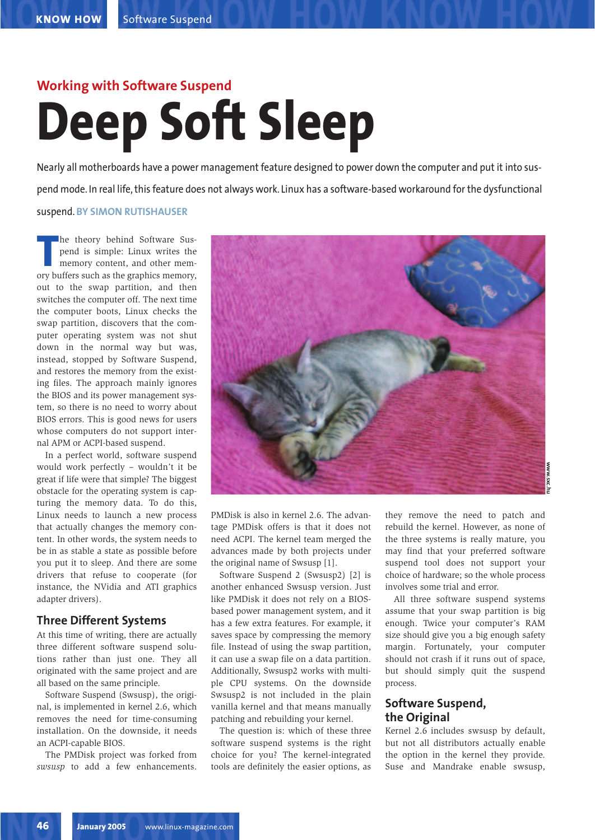# **Working with Software Suspend Deep Soft Sleep**

Nearly all motherboards have a power management feature designed to power down the computer and put it into suspend mode. In real life, this feature does not always work. Linux has a software-based workaround for the dysfunctional suspend. **BY SIMON RUTISHAUSER**

**THE SERVIET SERVIET SUSPEND OF SUSPEND SUMPLER SUCH A SUPPORT SUCH A SUPPORT SUCH A SUPPORT SUCH A SUPPORT SUCH A SUPPORT SUCH A SUPPORT SUCH A SUPPORT SUCH A SUPPORT SUCH A SUPPORT SUCH A SUPPORT SUCH A SUPPORT SUCH A SU** he theory behind Software Suspend is simple: Linux writes the memory content, and other memout to the swap partition, and then switches the computer off. The next time the computer boots, Linux checks the swap partition, discovers that the computer operating system was not shut down in the normal way but was, instead, stopped by Software Suspend, and restores the memory from the existing files. The approach mainly ignores the BIOS and its power management system, so there is no need to worry about BIOS errors. This is good news for users whose computers do not support internal APM or ACPI-based suspend.

In a perfect world, software suspend would work perfectly – wouldn't it be great if life were that simple? The biggest obstacle for the operating system is capturing the memory data. To do this, Linux needs to launch a new process that actually changes the memory content. In other words, the system needs to be in as stable a state as possible before you put it to sleep. And there are some drivers that refuse to cooperate (for instance, the NVidia and ATI graphics adapter drivers).

#### **Three Different Systems**

At this time of writing, there are actually three different software suspend solutions rather than just one. They all originated with the same project and are all based on the same principle.

Software Suspend (Swsusp), the original, is implemented in kernel 2.6, which removes the need for time-consuming installation. On the downside, it needs an ACPI-capable BIOS.

The PMDisk project was forked from *swsusp* to add a few enhancements.



PMDisk is also in kernel 2.6. The advantage PMDisk offers is that it does not need ACPI. The kernel team merged the advances made by both projects under the original name of Swsusp [1].

Software Suspend 2 (Swsusp2) [2] is another enhanced Swsusp version. Just like PMDisk it does not rely on a BIOSbased power management system, and it has a few extra features. For example, it saves space by compressing the memory file. Instead of using the swap partition, it can use a swap file on a data partition. Additionally, Swsusp2 works with multiple CPU systems. On the downside Swsusp2 is not included in the plain vanilla kernel and that means manually patching and rebuilding your kernel.

The question is: which of these three software suspend systems is the right choice for you? The kernel-integrated tools are definitely the easier options, as

they remove the need to patch and rebuild the kernel. However, as none of the three systems is really mature, you may find that your preferred software suspend tool does not support your choice of hardware; so the whole process involves some trial and error.

All three software suspend systems assume that your swap partition is big enough. Twice your computer's RAM size should give you a big enough safety margin. Fortunately, your computer should not crash if it runs out of space, but should simply quit the suspend process.

#### **Software Suspend, the Original**

Kernel 2.6 includes swsusp by default, but not all distributors actually enable the option in the kernel they provide. Suse and Mandrake enable swsusp,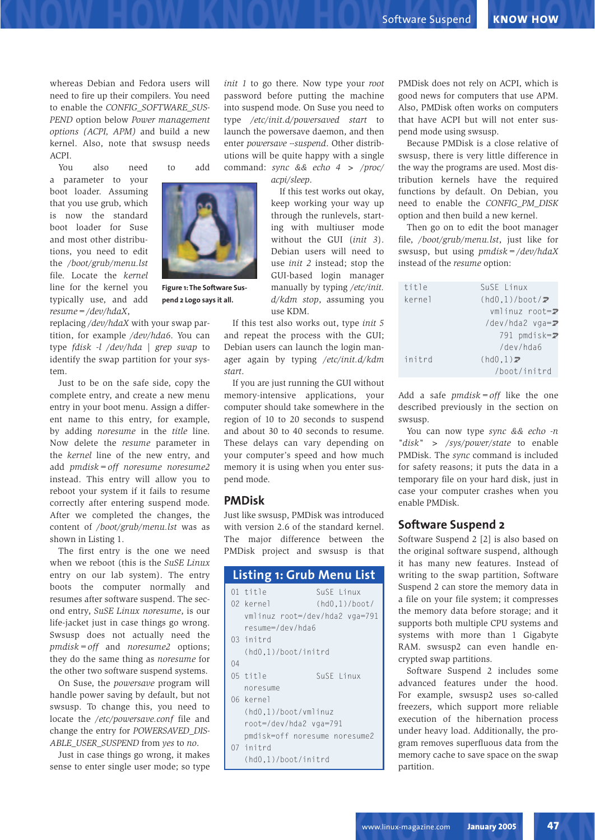whereas Debian and Fedora users will need to fire up their compilers. You need to enable the *CONFIG\_SOFTWARE\_SUS-PEND* option below *Power management options (ACPI, APM)* and build a new kernel. Also, note that swsusp needs  $A$ C<sub>p</sub> $I$ 

You also need to add

a parameter to your boot loader. Assuming that you use grub, which is now the standard boot loader for Suse and most other distributions, you need to edit the */boot/grub/menu.lst* file. Locate the *kernel* line for the kernel you typically use, and add *resume=/dev/hdaX*,

replacing */dev/hdaX* with your swap partition, for example */dev/hda6*. You can type *fdisk -l /dev/hda | grep swap* to identify the swap partition for your system.

Just to be on the safe side, copy the complete entry, and create a new menu entry in your boot menu. Assign a different name to this entry, for example, by adding *noresume* in the *title* line. Now delete the *resume* parameter in the *kernel* line of the new entry, and add *pmdisk=off noresume noresume2* instead. This entry will allow you to reboot your system if it fails to resume correctly after entering suspend mode. After we completed the changes, the content of */boot/grub/menu.lst* was as shown in Listing 1.

The first entry is the one we need when we reboot (this is the *SuSE Linux* entry on our lab system). The entry boots the computer normally and resumes after software suspend. The second entry, *SuSE Linux noresume*, is our life-jacket just in case things go wrong. Swsusp does not actually need the *pmdisk=off* and *noresume2* options; they do the same thing as *noresume* for the other two software suspend systems.

On Suse, the *powersave* program will handle power saving by default, but not swsusp. To change this, you need to locate the */etc/powersave.conf* file and change the entry for *POWERSAVED\_DIS-ABLE\_USER\_SUSPEND* from *yes* to *no*.

Just in case things go wrong, it makes sense to enter single user mode; so type

*init 1* to go there. Now type your *root* password before putting the machine into suspend mode. On Suse you need to type */etc/init.d/powersaved start* to launch the powersave daemon, and then enter *powersave --suspend*. Other distributions will be quite happy with a single command: *sync && echo 4 > /proc/*

*acpi/sleep*.

If this test works out okay, keep working your way up through the runlevels, starting with multiuser mode without the GUI (*init 3*). Debian users will need to use *init 2* instead; stop the GUI-based login manager manually by typing */etc/init. d/kdm stop*, assuming you use KDM.

If this test also works out, type *init 5* and repeat the process with the GUI; Debian users can launch the login manager again by typing */etc/init.d/kdm start*.

If you are just running the GUI without memory-intensive applications, your computer should take somewhere in the region of 10 to 20 seconds to suspend and about 30 to 40 seconds to resume. These delays can vary depending on your computer's speed and how much memory it is using when you enter suspend mode.

#### **PMDisk**

Just like swsusp, PMDisk was introduced with version 2.6 of the standard kernel. The major difference between the PMDisk project and swsusp is that

| <b>Listing 1: Grub Menu List</b> |                                |               |  |
|----------------------------------|--------------------------------|---------------|--|
|                                  | 01 title                       | SuSE Linux    |  |
|                                  | 02 kernel                      | (hd0,1)/boot/ |  |
|                                  | vmlinuz root=/dev/hda2 vga=791 |               |  |
|                                  | resume=/dev/hda6               |               |  |
|                                  | 03 initrd                      |               |  |
|                                  | (hd0.1)/boot/initrd            |               |  |
| 04                               |                                |               |  |
|                                  | 05 title                       | SuSF Linux    |  |
|                                  | noresume                       |               |  |
|                                  | 06 kernel                      |               |  |
|                                  | (hd0.1)/boot/vmlinuz           |               |  |
|                                  | root=/dev/hda2 vga=791         |               |  |
|                                  | pmdisk=off noresume noresume2  |               |  |
|                                  | 07 initrd                      |               |  |
|                                  | (hd0,1)/boot/initrd            |               |  |

PMDisk does not rely on ACPI, which is good news for computers that use APM. Also, PMDisk often works on computers that have ACPI but will not enter suspend mode using swsusp.

Because PMDisk is a close relative of swsusp, there is very little difference in the way the programs are used. Most distribution kernels have the required functions by default. On Debian, you need to enable the *CONFIG\_PM\_DISK* option and then build a new kernel.

Then go on to edit the boot manager file, */boot/grub/menu.lst*, just like for swsusp, but using *pmdisk=/dev/hdaX* instead of the *resume* option:

| title  | SuSE Linux                      |
|--------|---------------------------------|
| kernel | $(hd0,1)/boot/\mathbf{z}$       |
|        | $v$ mlinuz root= $\overline{z}$ |
|        | /dev/hda2 vga=2                 |
|        | 791 pmdisk=2                    |
|        | /dev/hda6                       |
| initrd | (hd0,1)                         |
|        | /boot/initrd                    |

Add a safe *pmdisk=off* like the one described previously in the section on swsusp.

You can now type *sync && echo -n "disk" > /sys/power/state* to enable PMDisk. The *sync* command is included for safety reasons; it puts the data in a temporary file on your hard disk, just in case your computer crashes when you enable PMDisk.

#### **Software Suspend 2**

Software Suspend 2 [2] is also based on the original software suspend, although it has many new features. Instead of writing to the swap partition, Software Suspend 2 can store the memory data in a file on your file system; it compresses the memory data before storage; and it supports both multiple CPU systems and systems with more than 1 Gigabyte RAM. swsusp2 can even handle encrypted swap partitions.

Software Suspend 2 includes some advanced features under the hood. For example, swsusp2 uses so-called freezers, which support more reliable execution of the hibernation process under heavy load. Additionally, the program removes superfluous data from the memory cache to save space on the swap partition.



**Figure 1: The Software Suspend 2 Logo says it all.**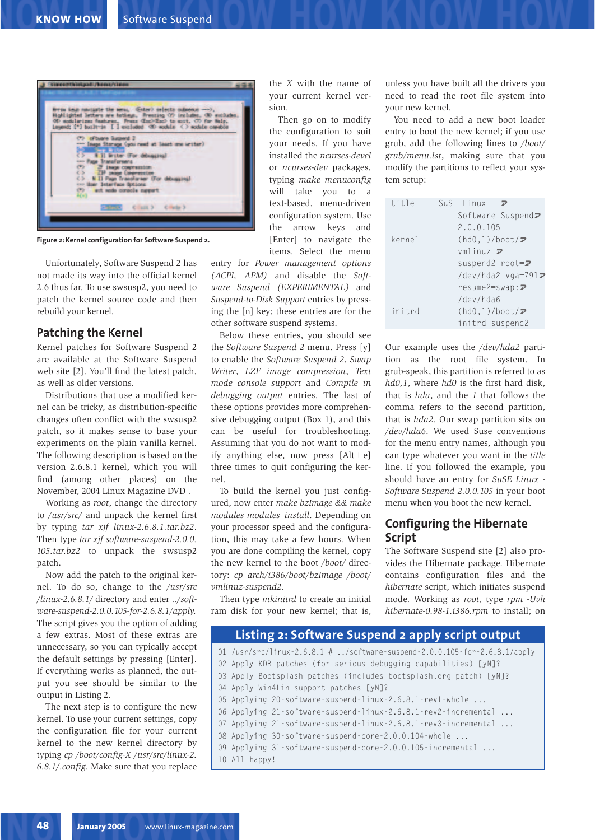

**Figure 2: Kernel configuration for Software Suspend 2.**

Unfortunately, Software Suspend 2 has not made its way into the official kernel 2.6 thus far. To use swsusp2, you need to patch the kernel source code and then rebuild your kernel.

#### **Patching the Kernel**

Kernel patches for Software Suspend 2 are available at the Software Suspend web site [2]. You'll find the latest patch, as well as older versions.

Distributions that use a modified kernel can be tricky, as distribution-specific changes often conflict with the swsusp2 patch, so it makes sense to base your experiments on the plain vanilla kernel. The following description is based on the version 2.6.8.1 kernel, which you will find (among other places) on the November, 2004 Linux Magazine DVD .

Working as *root*, change the directory to */usr/src/* and unpack the kernel first by typing *tar xjf linux-2.6.8.1.tar.bz2*. Then type *tar xjf software-suspend-2.0.0. 105.tar.bz2* to unpack the swsusp2 patch.

Now add the patch to the original kernel. To do so, change to the */usr/src /linux-2.6.8.1/* directory and enter .*./software-suspend-2.0.0.105-for-2.6.8.1/apply.* The script gives you the option of adding a few extras. Most of these extras are unnecessary, so you can typically accept the default settings by pressing [Enter]. If everything works as planned, the output you see should be similar to the output in Listing 2.

The next step is to configure the new kernel. To use your current settings, copy the configuration file for your current kernel to the new kernel directory by typing *cp /boot/config-X /usr/src/linux-2. 6.8.1/.config*. Make sure that you replace

the *X* with the name of your current kernel version.

Then go on to modify the configuration to suit your needs. If you have installed the *ncurses-devel* or *ncurses-dev* packages, typing *make menuconfig* will take you to a text-based, menu-driven configuration system. Use the arrow keys and [Enter] to navigate the items. Select the menu

entry for *Power management options (ACPI, APM)* and disable the *Software Suspend (EXPERIMENTAL)* and *Suspend-to-Disk Support* entries by pressing the [n] key; these entries are for the other software suspend systems.

Below these entries, you should see the *Software Suspend 2* menu. Press [y] to enable the *Software Suspend 2*, *Swap Writer*, *LZF image compression*, *Text mode console support* and *Compile in debugging output* entries. The last of these options provides more comprehensive debugging output (Box 1), and this can be useful for troubleshooting. Assuming that you do not want to modify anything else, now press  $[Alt + e]$ three times to quit configuring the kernel.

To build the kernel you just configured, now enter *make bzImage && make modules modules\_install*. Depending on your processor speed and the configuration, this may take a few hours. When you are done compiling the kernel, copy the new kernel to the boot */boot/* directory: *cp arch/i386/boot/bzImage /boot/ vmlinuz-suspend2*.

Then type *mkinitrd* to create an initial ram disk for your new kernel; that is,

unless you have built all the drivers you need to read the root file system into your new kernel.

You need to add a new boot loader entry to boot the new kernel; if you use grub, add the following lines to */boot/ grub/menu.lst*, making sure that you modify the partitions to reflect your system setup:

| title  | SuSE Linux $ \overline{z}$ |
|--------|----------------------------|
|        | Software Suspend2          |
|        | 2.0.0.105                  |
| kernel | $(hd0,1)/boot/\mathcal{D}$ |
|        | $vmlinuz - \nabla$         |
|        | suspend2 root=2            |
|        | /dev/hda2 vga=7912         |
|        | $resume2 = swap: Z$        |
|        | /dev/hda6                  |
| initrd | $(hd0,1)/boot/\mathcal{D}$ |
|        | initrd-suspend2            |

Our example uses the */dev/hda2* partition as the root file system. In grub-speak, this partition is referred to as *hd0,1*, where *hd0* is the first hard disk, that is *hda*, and the *1* that follows the comma refers to the second partition, that is *hda2*. Our swap partition sits on */dev/hda6*. We used Suse conventions for the menu entry names, although you can type whatever you want in the *title* line. If you followed the example, you should have an entry for *SuSE Linux - Software Suspend 2.0.0.105* in your boot menu when you boot the new kernel.

#### **Configuring the Hibernate Script**

The Software Suspend site [2] also provides the Hibernate package. Hibernate contains configuration files and the *hibernate* script, which initiates suspend mode. Working as *root*, type *rpm -Uvh hibernate-0.98-1.i386.rpm* to install; on

## **Listing 2: Software Suspend 2 apply script output**

 /usr/src/linux-2.6.8.1 # ../software-suspend-2.0.0.105-for-2.6.8.1/apply Apply KDB patches (for serious debugging capabilities) [yN]? Apply Bootsplash patches (includes bootsplash.org patch) [yN]? Apply Win4Lin support patches [yN]? Applying 20-software-suspend-linux-2.6.8.1-rev1-whole ... Applying 21-software-suspend-linux-2.6.8.1-rev2-incremental ... Applying 21-software-suspend-linux-2.6.8.1-rev3-incremental ... Applying 30-software-suspend-core-2.0.0.104-whole ... Applying 31-software-suspend-core-2.0.0.105-incremental ... All happy!